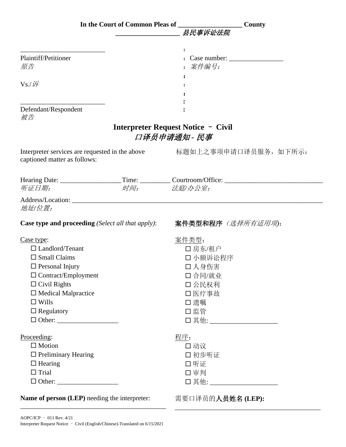|                                                                                                                     | In the Court of Common Pleas of ___________________________County |
|---------------------------------------------------------------------------------------------------------------------|-------------------------------------------------------------------|
|                                                                                                                     | 县民事诉讼法院                                                           |
|                                                                                                                     |                                                                   |
|                                                                                                                     |                                                                   |
| Plaintiff/Petitioner                                                                                                |                                                                   |
| 原告                                                                                                                  | : 案件编号:                                                           |
|                                                                                                                     |                                                                   |
| $Vs$ ./ if                                                                                                          |                                                                   |
|                                                                                                                     |                                                                   |
| Defendant/Respondent                                                                                                |                                                                   |
| 被告                                                                                                                  |                                                                   |
|                                                                                                                     | <b>Interpreter Request Notice - Civil</b>                         |
|                                                                                                                     | 口译员申请通知 - 民事                                                      |
| Interpreter services are requested in the above <b>hotage 标题如上之事项申请口译员服务,如下所示</b> :<br>captioned matter as follows: |                                                                   |
| Hearing Date: ___________________Time: __________Courtroom/Office: _________________________________                |                                                                   |
| 听证日期:<br>时间: 法庭/办公室:                                                                                                |                                                                   |
| 地址/位置:                                                                                                              |                                                                   |
| <b>Case type and proceeding</b> (Select all that apply):                                                            | 案件类型和程序 (选择所有适用项):                                                |
| Case type:                                                                                                          | <u>案件类型:</u>                                                      |
| $\Box$ Landlord/Tenant                                                                                              | 口房东/租户                                                            |
| $\Box$ Small Claims                                                                                                 | 口小额诉讼程序                                                           |
| $\Box$ Personal Injury                                                                                              | 口 人身伤害                                                            |
| $\Box$ Contract/Employment                                                                                          | 口合同/就业                                                            |
| $\Box$ Civil Rights                                                                                                 | 口公民权利                                                             |
| $\Box$ Medical Malpractice                                                                                          | 口医疗事故                                                             |
| $\Box$ Wills                                                                                                        | □遗嘱                                                               |
| $\Box$ Regulatory                                                                                                   | 口监管                                                               |
|                                                                                                                     | □ 其他: ______________________                                      |
| Proceeding:                                                                                                         | 程序:                                                               |
| $\Box$ Motion                                                                                                       | 口动议                                                               |
| $\Box$ Preliminary Hearing                                                                                          | 口初步听证                                                             |
| $\Box$ Hearing                                                                                                      | 口听证                                                               |
| $\Box$ Trial                                                                                                        | 口审判                                                               |
|                                                                                                                     | □ 其他: ______________________                                      |
| <b>Name of person (LEP)</b> needing the interpreter:                                                                | 需要口译员的人员姓名(LEP):                                                  |